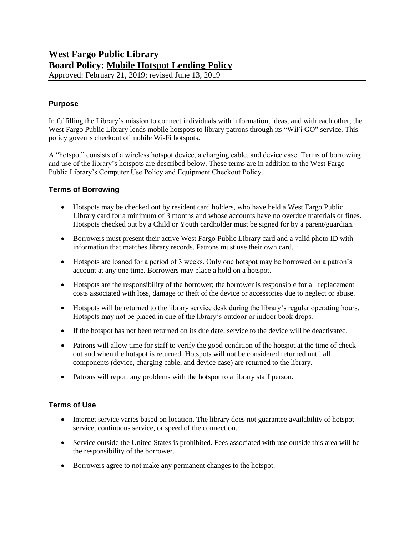## **West Fargo Public Library Board Policy: Mobile Hotspot Lending Policy**

Approved: February 21, 2019; revised June 13, 2019

## **Purpose**

In fulfilling the Library's mission to connect individuals with information, ideas, and with each other, the West Fargo Public Library lends mobile hotspots to library patrons through its "WiFi GO" service. This policy governs checkout of mobile Wi-Fi hotspots.

A "hotspot" consists of a wireless hotspot device, a charging cable, and device case. Terms of borrowing and use of the library's hotspots are described below. These terms are in addition to the West Fargo Public Library's Computer Use Policy and Equipment Checkout Policy.

## **Terms of Borrowing**

- Hotspots may be checked out by resident card holders, who have held a West Fargo Public Library card for a minimum of 3 months and whose accounts have no overdue materials or fines. Hotspots checked out by a Child or Youth cardholder must be signed for by a parent/guardian.
- Borrowers must present their active West Fargo Public Library card and a valid photo ID with information that matches library records. Patrons must use their own card.
- Hotspots are loaned for a period of 3 weeks. Only one hotspot may be borrowed on a patron's account at any one time. Borrowers may place a hold on a hotspot.
- Hotspots are the responsibility of the borrower; the borrower is responsible for all replacement costs associated with loss, damage or theft of the device or accessories due to neglect or abuse.
- Hotspots will be returned to the library service desk during the library's regular operating hours. Hotspots may not be placed in one of the library's outdoor or indoor book drops.
- If the hotspot has not been returned on its due date, service to the device will be deactivated.
- Patrons will allow time for staff to verify the good condition of the hotspot at the time of check out and when the hotspot is returned. Hotspots will not be considered returned until all components (device, charging cable, and device case) are returned to the library.
- Patrons will report any problems with the hotspot to a library staff person.

## **Terms of Use**

- Internet service varies based on location. The library does not guarantee availability of hotspot service, continuous service, or speed of the connection.
- Service outside the United States is prohibited. Fees associated with use outside this area will be the responsibility of the borrower.
- Borrowers agree to not make any permanent changes to the hotspot.